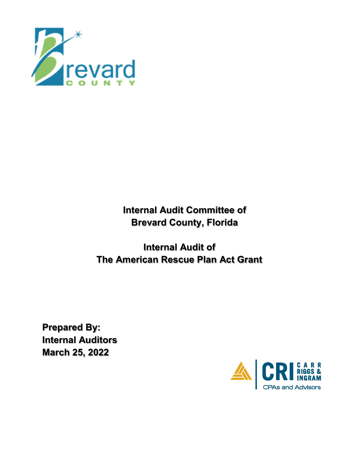

**Internal Audit Committee of Brevard County, Florida**

**Internal Audit of The American Rescue Plan Act Grant**

**Prepared By: Internal Auditors March 25, 2022**

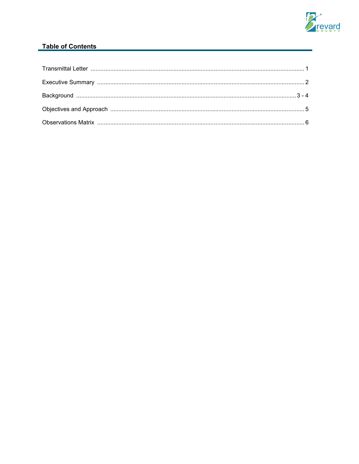

## Table of Contents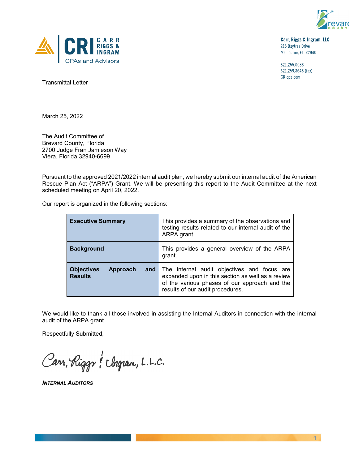



Carr, Riggs & Ingram, LLC 215 Baytree Drive Melbourne, FL 32940

321.255.0088 321.259.8648 (fax) CRIcpa.com

Transmittal Letter

March 25, 2022

The Audit Committee of Brevard County, Florida 2700 Judge Fran Jamieson Way Viera, Florida 32940-6699

Pursuant to the approved 2021/2022 internal audit plan, we hereby submit our internal audit of the American Rescue Plan Act ("ARPA") Grant. We will be presenting this report to the Audit Committee at the next scheduled meeting on April 20, 2022.

Our report is organized in the following sections:

| <b>Executive Summary</b>                        | This provides a summary of the observations and<br>testing results related to our internal audit of the<br>ARPA grant.                                                                           |
|-------------------------------------------------|--------------------------------------------------------------------------------------------------------------------------------------------------------------------------------------------------|
| <b>Background</b>                               | This provides a general overview of the ARPA<br>grant.                                                                                                                                           |
| <b>Objectives</b><br>Approach<br><b>Results</b> | <b>and</b> The internal audit objectives and focus are<br>expanded upon in this section as well as a review<br>of the various phases of our approach and the<br>results of our audit procedures. |

We would like to thank all those involved in assisting the Internal Auditors in connection with the internal audit of the ARPA grant.

Respectfully Submitted,

Carr, Riggr & Ungram, L.L.C.

*INTERNAL AUDITORS*

**1**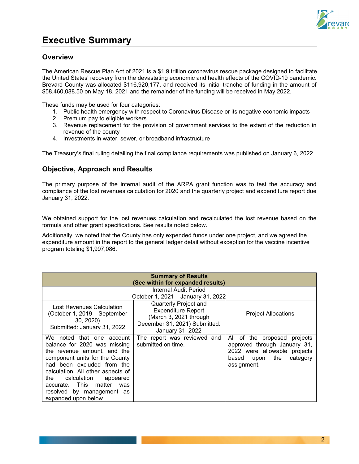

## **Executive Summary**

## **Overview**

The American Rescue Plan Act of 2021 is a \$1.9 trillion coronavirus rescue package designed to facilitate the United States' recovery from the devastating economic and health effects of the COVID-19 pandemic. Brevard County was allocated \$116,920,177, and received its initial tranche of funding in the amount of \$58,460,088.50 on May 18, 2021 and the remainder of the funding will be received in May 2022.

These funds may be used for four categories:

- 1. Public health emergency with respect to Coronavirus Disease or its negative economic impacts
- 2. Premium pay to eligible workers
- 3. Revenue replacement for the provision of government services to the extent of the reduction in revenue of the county
- 4. Investments in water, sewer, or broadband infrastructure

The Treasury's final ruling detailing the final compliance requirements was published on January 6, 2022.

## **Objective, Approach and Results**

The primary purpose of the internal audit of the ARPA grant function was to test the accuracy and compliance of the lost revenues calculation for 2020 and the quarterly project and expenditure report due January 31, 2022.

We obtained support for the lost revenues calculation and recalculated the lost revenue based on the formula and other grant specifications. See results noted below.

Additionally, we noted that the County has only expended funds under one project, and we agreed the expenditure amount in the report to the general ledger detail without exception for the vaccine incentive program totaling \$1,997,086.

| <b>Summary of Results</b><br>(See within for expanded results)                                                                                                                                                                                                                                                          |                                                                                                                                   |                                                                                                                                              |  |  |
|-------------------------------------------------------------------------------------------------------------------------------------------------------------------------------------------------------------------------------------------------------------------------------------------------------------------------|-----------------------------------------------------------------------------------------------------------------------------------|----------------------------------------------------------------------------------------------------------------------------------------------|--|--|
| Internal Audit Period<br>October 1, 2021 - January 31, 2022                                                                                                                                                                                                                                                             |                                                                                                                                   |                                                                                                                                              |  |  |
| Lost Revenues Calculation<br>(October 1, 2019 - September<br>30, 2020<br>Submitted: January 31, 2022                                                                                                                                                                                                                    | Quarterly Project and<br><b>Expenditure Report</b><br>(March 3, 2021 through<br>December 31, 2021) Submitted:<br>January 31, 2022 | <b>Project Allocations</b>                                                                                                                   |  |  |
| We noted that one account<br>balance for 2020 was missing<br>the revenue amount, and the<br>component units for the County<br>had been excluded from the<br>calculation. All other aspects of<br>calculation<br>the<br>appeared<br>matter<br>accurate. This<br>was<br>resolved by management as<br>expanded upon below. | The report was reviewed and<br>submitted on time.                                                                                 | All of the proposed<br>projects<br>approved through January 31,<br>2022 were allowable projects<br>category<br>based upon the<br>assignment. |  |  |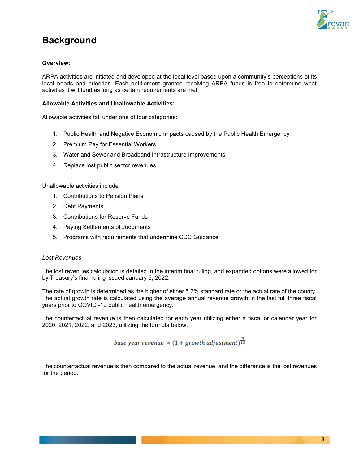

## **Background**

#### **Overview:**

ARPA activities are initiated and developed at the local level based upon a community's perceptions of its local needs and priorities. Each entitlement grantee receiving ARPA funds is free to determine what activities it will fund as long as certain requirements are met.

#### **Allowable Activities and Unallowable Activities:**

Allowable activities fall under one of four categories:

- 1. Public Health and Negative Economic Impacts caused by the Public Health Emergency
- 2. Premium Pay for Essential Workers
- 3. Water and Sewer and Broadband Infrastructure Improvements
- 4. Replace lost public sector revenues

Unallowable activities include:

- 1. Contributions to Pension Plans
- 2. Debt Payments
- 3. Contributions for Reserve Funds
- 4. Paying Settlements of Judgments
- 5. Programs with requirements that undermine CDC Guidance

#### *Lost Revenues*

The lost revenues calculation is detailed in the interim final ruling, and expanded options were allowed for by Treasury's final ruling issued January 6, 2022.

The rate of growth is determined as the higher of either 5.2% standard rate or the actual rate of the county. The actual growth rate is calculated using the average annual revenue growth in the last full three fiscal years prior to COVID -19 public health emergency.

The counterfactual revenue is then calculated for each year utilizing either a fiscal or calendar year for 2020, 2021, 2022, and 2023, utilizing the formula below.

base year revenue  $\times$  (1 + growth adjustment) $\frac{n}{12}$ 

The counterfactual revenue is then compared to the actual revenue, and the difference is the lost revenues for the period.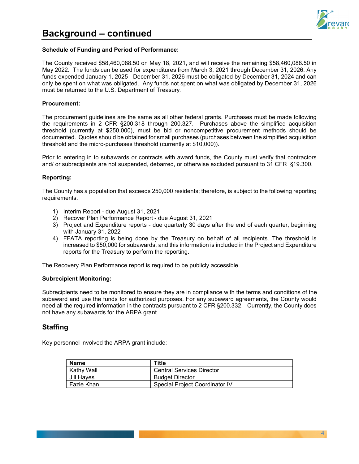



#### **Schedule of Funding and Period of Performance:**

The County received \$58,460,088.50 on May 18, 2021, and will receive the remaining \$58,460,088.50 in May 2022. The funds can be used for expenditures from March 3, 2021 through December 31, 2026. Any funds expended January 1, 2025 - December 31, 2026 must be obligated by December 31, 2024 and can only be spent on what was obligated. Any funds not spent on what was obligated by December 31, 2026 must be returned to the U.S. Department of Treasury.

#### **Procurement:**

The procurement guidelines are the same as all other federal grants. Purchases must be made following the requirements in 2 CFR §200.318 through 200.327. Purchases above the simplified acquisition threshold (currently at \$250,000), must be bid or noncompetitive procurement methods should be documented. Quotes should be obtained for small purchases (purchases between the simplified acquisition threshold and the micro-purchases threshold (currently at \$10,000)).

Prior to entering in to subawards or contracts with award funds, the County must verify that contractors and/ or subrecipients are not suspended, debarred, or otherwise excluded pursuant to 31 CFR §19.300.

#### **Reporting:**

The County has a population that exceeds 250,000 residents; therefore, is subject to the following reporting requirements.

- 1) Interim Report due August 31, 2021
- 2) Recover Plan Performance Report due August 31, 2021
- 3) Project and Expenditure reports due quarterly 30 days after the end of each quarter, beginning with January 31, 2022
- 4) FFATA reporting is being done by the Treasury on behalf of all recipients. The threshold is increased to \$50,000 for subawards, and this information is included in the Project and Expenditure reports for the Treasury to perform the reporting.

The Recovery Plan Performance report is required to be publicly accessible.

#### **Subrecipient Monitoring:**

Subrecipients need to be monitored to ensure they are in compliance with the terms and conditions of the subaward and use the funds for authorized purposes. For any subaward agreements, the County would need all the required information in the contracts pursuant to 2 CFR §200.332. Currently, the County does not have any subawards for the ARPA grant.

### **Staffing**

Key personnel involved the ARPA grant include:

| <b>Name</b> | Title                            |  |
|-------------|----------------------------------|--|
| Kathy Wall  | <b>Central Services Director</b> |  |
| Jill Hayes  | <b>Budget Director</b>           |  |
| Fazie Khan  | Special Project Coordinator IV   |  |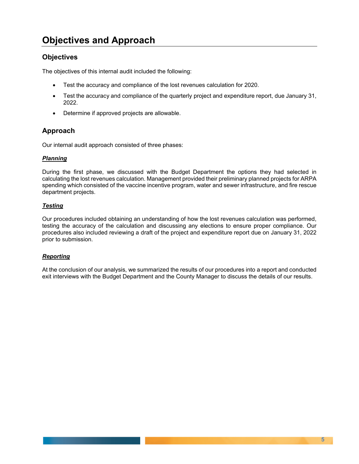# **Objectives and Approach**

## **Objectives**

The objectives of this internal audit included the following:

- Test the accuracy and compliance of the lost revenues calculation for 2020.
- Test the accuracy and compliance of the quarterly project and expenditure report, due January 31, 2022.
- Determine if approved projects are allowable.

## **Approach**

Our internal audit approach consisted of three phases:

#### *Planning*

During the first phase, we discussed with the Budget Department the options they had selected in calculating the lost revenues calculation. Management provided their preliminary planned projects for ARPA spending which consisted of the vaccine incentive program, water and sewer infrastructure, and fire rescue department projects.

#### *Testing*

Our procedures included obtaining an understanding of how the lost revenues calculation was performed, testing the accuracy of the calculation and discussing any elections to ensure proper compliance. Our procedures also included reviewing a draft of the project and expenditure report due on January 31, 2022 prior to submission.

#### *Reporting*

At the conclusion of our analysis, we summarized the results of our procedures into a report and conducted exit interviews with the Budget Department and the County Manager to discuss the details of our results.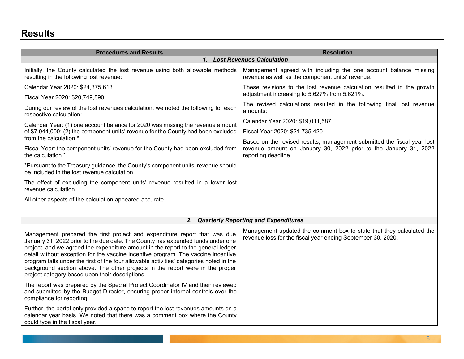| <b>Procedures and Results</b>                                                                                                                                                                                                                                                                                                                                                                                                                                                                                                                                         | <b>Resolution</b>                                                                                                                           |
|-----------------------------------------------------------------------------------------------------------------------------------------------------------------------------------------------------------------------------------------------------------------------------------------------------------------------------------------------------------------------------------------------------------------------------------------------------------------------------------------------------------------------------------------------------------------------|---------------------------------------------------------------------------------------------------------------------------------------------|
|                                                                                                                                                                                                                                                                                                                                                                                                                                                                                                                                                                       | 1. Lost Revenues Calculation                                                                                                                |
| Initially, the County calculated the lost revenue using both allowable methods<br>resulting in the following lost revenue:                                                                                                                                                                                                                                                                                                                                                                                                                                            | Management agreed with including the one account balance missing<br>revenue as well as the component units' revenue.                        |
| Calendar Year 2020: \$24,375,613                                                                                                                                                                                                                                                                                                                                                                                                                                                                                                                                      | These revisions to the lost revenue calculation resulted in the growth                                                                      |
| Fiscal Year 2020: \$20,749,890                                                                                                                                                                                                                                                                                                                                                                                                                                                                                                                                        | adjustment increasing to 5.627% from 5.621%.                                                                                                |
| During our review of the lost revenues calculation, we noted the following for each<br>respective calculation:                                                                                                                                                                                                                                                                                                                                                                                                                                                        | The revised calculations resulted in the following final lost revenue<br>amounts:                                                           |
| Calendar Year: (1) one account balance for 2020 was missing the revenue amount<br>of \$7,044,000; (2) the component units' revenue for the County had been excluded                                                                                                                                                                                                                                                                                                                                                                                                   | Calendar Year 2020: \$19,011,587                                                                                                            |
|                                                                                                                                                                                                                                                                                                                                                                                                                                                                                                                                                                       | Fiscal Year 2020: \$21,735,420                                                                                                              |
| from the calculation.*<br>Fiscal Year: the component units' revenue for the County had been excluded from                                                                                                                                                                                                                                                                                                                                                                                                                                                             | Based on the revised results, management submitted the fiscal year lost<br>revenue amount on January 30, 2022 prior to the January 31, 2022 |
| the calculation.*                                                                                                                                                                                                                                                                                                                                                                                                                                                                                                                                                     | reporting deadline.                                                                                                                         |
| *Pursuant to the Treasury guidance, the County's component units' revenue should<br>be included in the lost revenue calculation.                                                                                                                                                                                                                                                                                                                                                                                                                                      |                                                                                                                                             |
| The effect of excluding the component units' revenue resulted in a lower lost<br>revenue calculation.                                                                                                                                                                                                                                                                                                                                                                                                                                                                 |                                                                                                                                             |
| All other aspects of the calculation appeared accurate.                                                                                                                                                                                                                                                                                                                                                                                                                                                                                                               |                                                                                                                                             |
|                                                                                                                                                                                                                                                                                                                                                                                                                                                                                                                                                                       |                                                                                                                                             |
| 2.                                                                                                                                                                                                                                                                                                                                                                                                                                                                                                                                                                    | <b>Quarterly Reporting and Expenditures</b>                                                                                                 |
| Management prepared the first project and expenditure report that was due<br>January 31, 2022 prior to the due date. The County has expended funds under one<br>project, and we agreed the expenditure amount in the report to the general ledger<br>detail without exception for the vaccine incentive program. The vaccine incentive<br>program falls under the first of the four allowable activities' categories noted in the<br>background section above. The other projects in the report were in the proper<br>project category based upon their descriptions. | Management updated the comment box to state that they calculated the<br>revenue loss for the fiscal year ending September 30, 2020.         |
| The report was prepared by the Special Project Coordinator IV and then reviewed<br>and submitted by the Budget Director, ensuring proper internal controls over the<br>compliance for reporting.                                                                                                                                                                                                                                                                                                                                                                      |                                                                                                                                             |
| Further, the portal only provided a space to report the lost revenues amounts on a<br>calendar year basis. We noted that there was a comment box where the County<br>could type in the fiscal year.                                                                                                                                                                                                                                                                                                                                                                   |                                                                                                                                             |